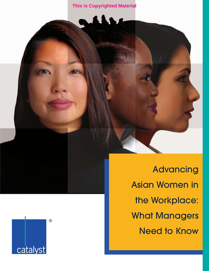



Advancing Asian Women in the Workplace: What Managers Need to Know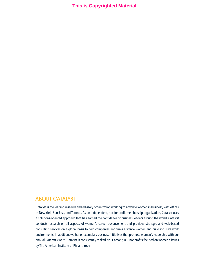# ABOUT CATALYST

Catalyst is the leading research and advisory organization working to advance women in business, with offices in New York, San Jose, and Toronto. As an independent, not-for-profit membership organization, Catalyst uses a solutions-oriented approach that has earned the confidence of business leaders around the world. Catalyst conducts research on all aspects of women's career advancement and provides strategic and web-based consulting services on a global basis to help companies and firms advance women and build inclusive work environments. In addition, we honor exemplary business initiatives that promote women's leadership with our annual Catalyst Award. Catalyst is consistently ranked No. 1 among U.S. nonprofits focused on women's issues by The American Institute of Philanthropy.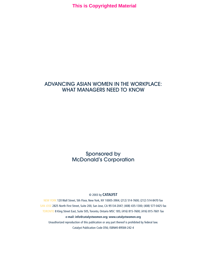# ADVANCING ASIAN WOMEN IN THE WORKPLACE: WHAT MANAGERS NEED TO KNOW

Sponsored by McDonald's Corporation

## © 2003 by **CATALYST**

NEW YORK 120 Wall Street, 5th Floor, New York, NY 10005-3904; (212) 514-7600; (212) 514-8470 fax SAN JOSE 2825 North First Street, Suite 200, San Jose, CA 95134-2047; (408) 435-1300; (408) 577-0425 fax TORONTO 8 King Street East, Suite 505, Toronto, Ontario M5C 1B5; (416) 815-7600; (416) 815-7601 fax **e-mail: info@catalystwomen.org; www.catalystwomen.org** Unauthorized reproduction of this publication or any part thereof is prohibited by federal law.

Catalyst Publication Code D56; ISBN#0-89584-242-4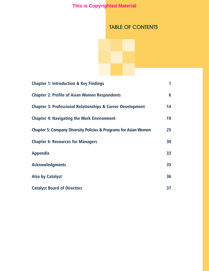# TABLE OF CONTENTS

| <b>Chapter 1: Introduction &amp; Key Findings</b>                           | 1               |
|-----------------------------------------------------------------------------|-----------------|
| <b>Chapter 2: Profile of Asian Women Respondents</b>                        | 6               |
| <b>Chapter 3: Professional Relationships &amp; Career Development</b>       | 14              |
| <b>Chapter 4: Navigating the Work Environment</b>                           | 19              |
| <b>Chapter 5: Company Diversity Policies &amp; Programs for Asian Women</b> | 25 <sub>2</sub> |
| <b>Chapter 6: Resources for Managers</b>                                    | 30              |
| <b>Appendix</b>                                                             | 33              |
| <b>Acknowledgments</b>                                                      | 35              |
| <b>Also by Catalyst</b>                                                     | 36              |
| <b>Catalyst Board of Directors</b>                                          | 37              |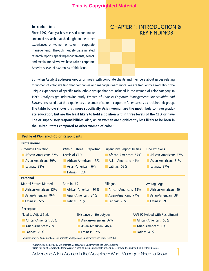# **Introduction**

Since 1997, Catalyst has released a continuous stream of research that sheds light on the career experiences of women of color in corporate management. Through widely-disseminated research reports, speaking engagements, events, and media interviews, we have raised corporate America's level of awareness of this issue.

# CHAPTER 1: INTRODUCTION & KEY FINDINGS

But when Catalyst addresses groups or meets with corporate clients and members about issues relating to women of color, we find that companies and managers want more. We are frequently asked about the unique experiences of specific racial/ethnic groups that are included in the women-of-color category. In 1999, Catalyst's groundbreaking study, *Women of Color in Corporate Management: Opportunities and Barriers,*<sup>1</sup> revealed that the experiences of women of color in corporate America vary by racial/ethnic group. **The table below shows that, more specifically, Asian women are the most likely to have graduate education, but are the least likely to hold a position within three levels of the CEO, or have line or supervisory responsibilities. Also, Asian women are significantly less likely to be born in the United States compared to other women of color.2**

# **Profile of Women-of-Color Respondents**

#### **Professional**

| <b>Graduate Education</b><br>African-American: 52%<br>Asian-American: 59%<br>Latinas: 38% | Within Three<br>Reporting<br>Levels of CEO<br>African-American: 13%<br>Asian-American: 6%<br>Latinas: 12% | <b>Supervisory Responsibilities</b><br>African-American: 57%<br>Asian-American: 41%<br>Latinas: 58% | Line Positions<br>African-American: 27%<br>Asian-American: 21%<br>Latinas: 27% |
|-------------------------------------------------------------------------------------------|-----------------------------------------------------------------------------------------------------------|-----------------------------------------------------------------------------------------------------|--------------------------------------------------------------------------------|
| Personal                                                                                  |                                                                                                           |                                                                                                     |                                                                                |
| <b>Marital Status: Married</b>                                                            | Born in U.S.                                                                                              | <b>Bilingual</b>                                                                                    | Average Age                                                                    |
| African-American: 52%                                                                     | African-American: 95%                                                                                     | African-American: 13%                                                                               | African-American: 40                                                           |
| Asian-American: 70%                                                                       | Asian-American: 34%                                                                                       | Asian-American: 77%                                                                                 | Asian-American: 38                                                             |
| Latinas: 65%                                                                              | Latinas: 73%                                                                                              | Latinas: 78%                                                                                        | Latinas: 39                                                                    |
| <b>Perceptual</b>                                                                         |                                                                                                           |                                                                                                     |                                                                                |
| Need to Adjust Style                                                                      | <b>Existence of Stereotypes</b>                                                                           |                                                                                                     | AA/EEO Helped with Recruitment                                                 |
| African-American: 36%                                                                     | African-American: 56%                                                                                     |                                                                                                     | African-American: 55%                                                          |
| Asian-American: 25%                                                                       | Asian-American: 46%                                                                                       |                                                                                                     | Asian-American: 30%                                                            |
| Latinas: 20%                                                                              | Latinas: 37%                                                                                              |                                                                                                     | Latinas: 43%                                                                   |

Source: Catalyst, *Women of Color in Corporate Management: Opportunities and Barriers,* (1999).

<sup>1</sup> Catalyst, Women of Color in Corporate Management: Opportunities and Barriers, (1999).

<sup>2</sup> From this point forward, the term "Asian" is used to include any people of Asian descent who live and work in the United States.

Advancing Asian Women in the Workplace: What Managers Need to Know 1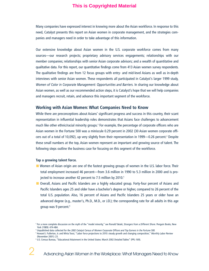Many companies have expressed interest in knowing more about the Asian workforce. In response to this need, Catalyst presents this report on Asian women in corporate management, and the strategies companies and managers need in order to take advantage of this information.

Our extensive knowledge about Asian women in the U.S. corporate workforce comes from many sources—our research projects; proprietary advisory services engagements; relationships with our member companies; relationships with senior Asian corporate advisors; and a wealth of quantitative and qualitative data. For this report, our quantitative findings come from 413 Asian women survey respondents. The qualitative findings are from 12 focus groups with entry- and mid-level Asians as well as in-depth interviews with senior Asian women. These respondents all participated in Catalyst's larger 1999 study, *Women of Color in Corporate Management: Opportunities and Barriers.* In sharing our knowledge about Asian women, as well as our recommended action steps, it is Catalyst's hope that we will help companies and managers recruit, retain, and advance this important segment of the workforce.

### **Working with Asian Women: What Companies Need to Know**

While there are preconceptions about Asians' significant progress and success in this country, their scant representation in influential leadership roles demonstrates that Asians face challenges to advancement much like other ethnic/racial minority groups.<sup>3</sup> For example, the percentage of corporate officers who are Asian women in the Fortune 500 was a miniscule 0.29 percent in 2002 (30 Asian women corporate officers out of a total of 10,092), up very slightly from their representation in 1999—0.26 percent.<sup>4</sup> Despite these small numbers at the top, Asian women represent an important and growing source of talent. The following steps outline the business case for focusing on this segment of the workforce.

#### **Tap a growing talent force.**

- Women of Asian origin are one of the fastest growing groups of women in the U.S. labor force. Their total employment increased 46 percent—from 3.6 million in 1990 to 5.3 million in 2000 and is projected to increase another 42 percent to 7.5 million by 2010.<sup>5</sup>
- **■** Overall, Asians and Pacific Islanders are a highly educated group. Forty-four percent of Asians and Pacific Islanders ages 25 and older have a bachelor's degree or higher, compared to 26 percent of the total U.S. population. Also, 16 percent of Asians and Pacific Islanders 25 years or older have an advanced degree (e.g., master's, Ph.D., M.D., or J.D.); the corresponding rate for all adults in this age group was 9 percent.<sup>6</sup>

<sup>3</sup> For a more complete discussion on the myth of the "model minority," see Ronald Takaki, *Strangers from a Different Shore*. Penguin Books, New York (1989): 474-484.

<sup>4</sup> Unpublished data collected for the *2002 Catalyst Census of Women Corporate Officers and Top Earners in the Fortune 500.*

<sup>5</sup> Howard J. Fullerton, Jr. and Mirta Toosi, "Labor force projections to 2010: steady growth and changing composition," *Monthly Labor Review* (November 2001): 23.

<sup>6</sup> U.S. Census Bureau, "Educational Attainment in the United States: March 2002 Detailed Tables" (PPL-169).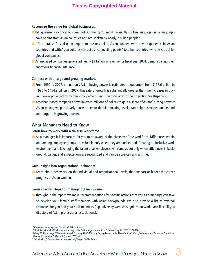#### **Recognize the value for global businesses.**

- **■** Bilingualism is a critical business skill. Of the top 15 most frequently spoken languages, nine languages have origins from Asian countries and are spoken by nearly 2 billion people.<sup>7</sup>
- **■** "Biculturalism" is also an important business skill. Asian women who have experience in Asian countries and with Asian cultures can act as "connecting points" to other countries, which is crucial for global companies.
- Asian-based companies generated nearly \$3 trillion in revenue for fiscal year 2001, demonstrating their enormous financial influence.<sup>8</sup>

#### **Connect with a large and growing market.**

- From 1990 to 2007, the nation's Asian buying power is estimated to quadruple from \$117.6 billion in 1990 to \$454.9 billion in 2007. This rate of growth is substantially greater than the increases in buying power projected for whites (112 percent) and is second only to the projection for Hispanics.<sup>9</sup>
- American-based companies have invested millions of dollars to gain a share of Asians' buying power.<sup>10</sup> Asian managers, particularly those at senior decision-making levels, can help businesses understand and target this growing market.

# **What Managers Need to Know**

#### **Learn how to work with a diverse workforce.**

**■** As a manager, it is important for you to be aware of the diversity of the workforce. Differences within and among employee groups are valuable only when they are understood. Creating an inclusive work environment and leveraging the talent of all employees will come about only when differences in background, values, and expectations are recognized and can be accepted and affirmed.

#### **Gain insight into organizational behaviors.**

■ Learn about behaviors, on the individual and organizational levels, that support or hinder the career progress of Asian women.

#### **Learn specific steps for managing Asian women.**

■ Throughout the report, we make recommendations for specific actions that you as a manager can take to develop your female staff members with Asian backgrounds. We also provide a list of external resources for you and your staff members (e.g., diversity web sites; guides on workplace flexibility; a directory of Asian professional associations).

<sup>7</sup> *Ethnologue: Languages of the World*, 14th edition.

<sup>&</sup>lt;sup>8</sup> "The International 500: Our annual survey of the 500 foreign corporations," Forbes. (July 22, 2002): 122-160.

<sup>9</sup> Jeffrey M. Humphreys, "The Multicultural Economy 2002: Minority Buying Power in the New Century," *Georgia Business and Economic Conditions*.

Volume 62, Number 2 (Second Quarter 2002): 6.

<sup>10</sup> "Asia Rising," *American Demographics* (July/August 2002): 38-43.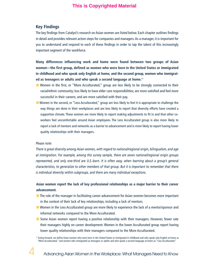# **Key Findings**

The key findings from Catalyst's research on Asian women are listed below. Each chapter outlines findings in detail and provides relevant action steps for companies and managers. As a manager, it is important for you to understand and respond to each of these findings in order to tap the talent of this increasingly important segment of the workforce.

**Many differences influencing work and home were found between two groups of Asian women—the first group, defined as women who were born in the United States or immigrated in childhood and who speak only English at home, and the second group, women who immigrated as teenagers or adults and who speak a second language at home.11**

- Women in the first, or "More Acculturated," group are less likely to be strongly connected to their racial/ethnic community; less likely to have elder care responsibilities; are more satisfied and feel more successful in their careers; and are more satisfied with their pay.
- **■** Women in the second, or "Less Acculturated," group are less likely to feel it is appropriate to challenge the way things are done in their workplaces and are less likely to report that diversity efforts have created a supportive climate. These women are more likely to report making adjustments to fit in and that other coworkers feel uncomfortable around Asian employees. The Less Acculturated group is also more likely to report a lack of mentors and networks as a barrier to advancement and is more likely to report having lower quality relationships with their managers.

#### *Please note:*

*There is great diversity among Asian women, with regard to national/regional origin, bilingualism, and age at immigration. For example, among this survey sample, there are seven national/regional origin groups represented, and only one-third are U.S.-born. It is often easy, when learning about a group's general characteristics, to generalize to other members of that group. But it is important to remember that there is individual diversity within subgroups, and there are many individual exceptions.*

# **Asian women report the lack of key professional relationships as a major barrier to their career advancement.**

- The role of the manager in facilitating career advancement for Asian women becomes more important in the context of their lack of key relationships, including a lack of mentors.
- **■** Women in the Less Acculturated group are more likely to experience the lack of a mentor/sponsor and informal networks compared to the More Acculturated.
- **■** Some Asian women report having a positive relationship with their managers. However, fewer rate their managers highly on career development. Women in the lower Acculturated group report having lower quality relationships with their managers compared to the More Acculturated.

<sup>11</sup> Going forward, we define Asian women who were born in the United States or immigrated in childhood and who speak only English at home as "More Acculturated," and women who immigrated as teenagers or adults and who speak a second language at home as "Less Acculturated."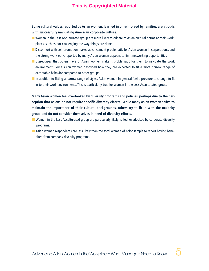**Some cultural values reported by Asian women, learned in or reinforced by families, are at odds with successfully navigating American corporate culture.**

- **■** Women in the Less Acculturated group are more likely to adhere to Asian cultural norms at their workplaces, such as not challenging the way things are done.
- **■** Discomfort with self-promotion makes advancement problematic for Asian women in corporations, and the strong work ethic reported by many Asian women appears to limit networking opportunities.
- Stereotypes that others have of Asian women make it problematic for them to navigate the work environment. Some Asian women described how they are expected to fit a more narrow range of acceptable behavior compared to other groups.
- In addition to fitting a narrow range of styles, Asian women in general feel a pressure to change to fit in to their work environments. This is particularly true for women in the Less Acculturated group.

**Many Asian women feel overlooked by diversity programs and policies, perhaps due to the perception that Asians do not require specific diversity efforts. While many Asian women strive to maintain the importance of their cultural backgrounds, others try to fit in with the majority group and do not consider themselves in need of diversity efforts.**

- Women in the Less Acculturated group are particularly likely to feel overlooked by corporate diversity programs.
- **■** Asian women respondents are less likely than the total women-of-color sample to report having benefited from company diversity programs.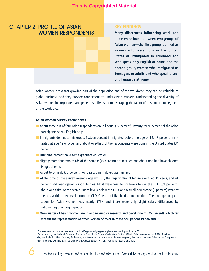# CHAPTER 2: PROFILE OF ASIAN WOMEN RESPONDENTS

**Many differences influencing work and home were found between two groups of Asian women—the first group, defined as women who were born in the United States or immigrated in childhood and who speak only English at home, and the second group, women who immigrated as teenagers or adults and who speak a second language at home.**

Asian women are a fast-growing part of the population and of the workforce, they can be valuable to global business, and they provide connections to underserved markets. Understanding the diversity of Asian women in corporate management is a first step to leveraging the talent of this important segment of the workforce.

#### **Asian Women Survey Participants**

- About three out of four Asian respondents are bilingual (77 percent). Twenty-three percent of the Asian participants speak English only.
- Immigrants dominate this group. Sixteen percent immigrated before the age of 12, 47 percent immigrated at age 12 or older, and about one-third of the respondents were born in the United States (34 percent).
- **■** Fifty-nine percent have some graduate education.
- **■** Slightly more than two-thirds of the sample (70 percent) are married and about one-half have children living at home.
- About two-thirds (70 percent) were raised in middle-class families.
- **■** At the time of the survey, average age was 38, the organizational tenure averaged 11 years, and 41 percent had managerial responsibilities. Most were four to six levels below the CEO (59 percent), about one-third were seven or more levels below the CEO, and a small percentage (6 percent) were at the top, within three levels from the CEO. One out of five held a line position. The average compensation for Asian women was nearly \$73K and there were only slight salary differences by national/regional origin groups.12
- One-quarter of Asian women are in engineering or research and development (25 percent), which far exceeds the representation of other women of color in these occupations (9 percent).<sup>13</sup>

 $12$  For more detailed comparisons among national/regional origin groups, please see the Appendix on p. 33.

<sup>&</sup>lt;sup>13</sup> As reported by the National Center for Education Statistics in *Digest of Education Statistics* (2001), Asian women earned 3.5% of technical degrees (including Math, Science, Engineering and Computer and Information Services degrees); this percent exceeds Asian women's representation in the U.S., which is 2.3%, as cited by U.S. Census Bureau, National Population Estimates, 2001.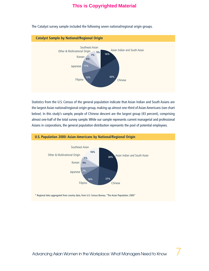

The Catalyst survey sample included the following seven national/regional origin groups.

Statistics from the U.S. Census of the general population indicate that Asian Indian and South Asians are the largest Asian national/regional origin group, making up almost one-third of Asian Americans (see chart below). In this study's sample, people of Chinese descent are the largest group (43 percent), comprising almost one-half of the total survey sample. While our sample represents current managerial and professional Asians in corporations, the general population distribution represents the pool of potential employees.



#### **U.S. Population 2000: Asian-Americans by National/Regional Origin**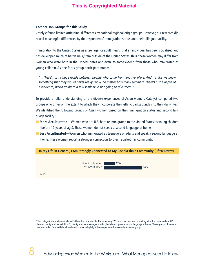#### **Comparison Groups for this Study**

Catalyst found limited attitudinal differences by national/regional origin groups. However, our research did reveal meaningful differences by the respondents' immigration status and their bilingual facility.

Immigration to the United States as a teenager or adult means that an individual has been socialized and has developed much of her value system outside of the United States. Thus, these women may differ from women who were born in the United States and even, to some extent, from those who immigrated as young children. As one focus group participant noted:

*"…There's just a huge divide between people who come from another place. And it's like we know something that they would never really know, no matter how many seminars. There's just a depth of experience, which going to a few seminars is not going to give them."*

To provide a fuller understanding of the diverse experiences of Asian women, Catalyst compared two groups who differ on the extent to which they incorporate their ethnic backgrounds into their daily lives. We identified the following groups of Asian women based on their immigration status and second language facility.<sup>14</sup>

- **More Acculturated—Women who are U.S.-born or immigrated to the United States as young children** (before 12 years of age). These women do not speak a second language at home.
- **Less Acculturated—Women who immigrated as teenagers or adults and speak a second language at** home. These women report a stronger connection to their racial/ethnic community.



<sup>&</sup>lt;sup>14</sup> This categorization scheme included 78% of the total sample. The remaining 22% are 1) women who are bilingual in the home and are U.S.born or immigrated as a child or 2) immigrated as a teenager or adult, but do not speak a second language at home. These groups of women were excluded from additional analyses in order to highlight the comparisons between the extreme groups.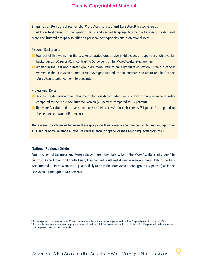# **Snapshot of Demographics for the More Acculturated and Less Acculturated Groups**

In addition to differing on immigration status and second language facility, the Less Acculturated and More Acculturated groups also differ on personal demographics and professional roles.

#### Personal Background

- Four out of five women in the Less Acculturated group have middle-class or upper-class, white-collar backgrounds (80 percent), in contrast to 56 percent of the More Acculturated women.
- Women in the Less Acculturated group are more likely to have graduate education. Three out of four women in the Less Acculturated group have graduate education, compared to about one-half of the More Acculturated women (49 percent).

#### Professional Roles

- Despite greater educational attainment, the Less Acculturated are less likely to have managerial roles compared to the More Acculturated women (28 percent compared to 55 percent).
- The More Acculturated are far more likely to feel successful in their careers (81 percent) compared to the Less Acculturated (55 percent).

There were no differences between these groups on their average age, number of children younger than 18 living at home, average number of years in each job grade, or their reporting levels from the CEO.

## **National/Regional Origin**

Asian women of Japanese and Korean descent are more likely to be in the More Acculturated group.15 In contrast, Asian Indian and South Asian, Filipino, and Southeast Asian women are more likely to be Less Acculturated. Chinese women are just as likely to be in the More Acculturated group (37 percent) as in the Less Acculturated group (40 percent).<sup>16</sup>

<sup>15</sup> This categorization scheme excluded 22% of the total sample; thus, the percentages for each national/regional group do not equal 100%.

<sup>16</sup> The sample sizes for each national origin group are small and vary. It is important to note that results by national/regional origin do not necessarily represent Asian women nationally.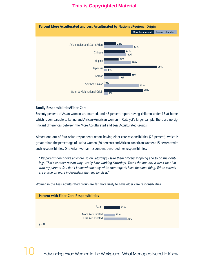

#### **Family Responsibilities/Elder Care**

Seventy percent of Asian women are married, and 48 percent report having children under 18 at home, which is comparable to Latina and African-American women in Catalyst's larger sample. There are no significant differences between the More Acculturated and Less Acculturated groups.

Almost one out of four Asian respondents report having elder care responsibilities (23 percent), which is greater than the percentage of Latina women (20 percent) and African-American women (15 percent) with such responsibilities. One Asian woman respondent described her responsibilities:

*"My parents don't drive anymore, so on Saturdays, I take them grocery shopping and to do their outings. That's another reason why I really hate working Saturdays. That's the one day a week that I'm with my parents. So I don't know whether my white counterparts have the same thing. White parents are a little bit more independent than my family is."*



Women in the Less Acculturated group are far more likely to have elder care responsibilities.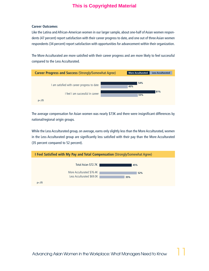#### **Career Outcomes**

Like the Latina and African-American women in our larger sample, about one-half of Asian women respondents (47 percent) report satisfaction with their career progress to date, and one out of three Asian women respondents (34 percent) report satisfaction with opportunities for advancement within their organization.

The More Acculturated are more satisfied with their career progress and are more likely to feel successful compared to the Less Acculturated.



The average compensation for Asian women was nearly \$73K and there were insignificant differences by national/regional origin groups.

While the Less Acculturated group, on average, earns only slightly less than the More Acculturated, women in the Less Acculturated group are significantly less satisfied with their pay than the More Acculturated (35 percent compared to 52 percent).

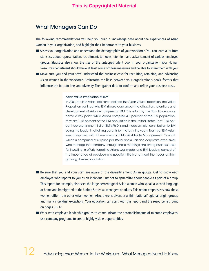# What Managers Can Do

The following recommendations will help you build a knowledge base about the experiences of Asian women in your organization, and highlight their importance to your business.

- Assess your organization and understand the demographics of your workforce. You can learn a lot from statistics about representation, recruitment, turnover, retention, and advancement of various employee groups. Statistics also show the size of the untapped talent pool in your organization. Your Human Resources department should have at least some of these measures and be able to share them with you.
- Make sure you and your staff understand the business case for recruiting, retaining, and advancing Asian women in the workforce. Brainstorm the links between your organization's goals, factors that influence the bottom line, and diversity. Then gather data to confirm and refine your business case.

#### Asian Value Proposition at IBM

In 2000, the IBM Asian Task Force defined the Asian Value Proposition. The Value Proposition outlined why IBM should care about the attraction, retention, and development of Asian employees at IBM. This effort by the Task Force drove home a key point: While Asians comprise 4.5 percent of the U.S. population, they are 10.5 percent of the IBM population in the United States. That 10.5 percent represents one-third of IBM's Ph.D.'s and made a major contribution to IBM being the leader in attaining patents for the last nine years. Teams of IBM Asian executives met with 41 members of IBM's Worldwide Management Council, which is comprised of 50 principal IBM business unit and corporate executives who manage the company. Through these meetings, the strong business case for investing in efforts targeting Asians was made, and IBM leaders learned of the importance of developing a specific initiative to meet the needs of their growing diverse population.

- Be sure that you and your staff are aware of the diversity among Asian groups. Get to know each employee who reports to you as an individual. Try not to generalize about people as part of a group. This report, for example, discusses the large percentage of Asian women who speak a second language at home and immigrated to the United States as teenagers or adults. This report emphasizes how these women differ from other Asian women. Also, there is diversity within national/regional origin groups, and many individual exceptions. Your education can start with this report and the resource list found on pages 30-32.
- Work with employee leadership groups to communicate the accomplishments of talented employees; use company programs to create highly visible opportunities.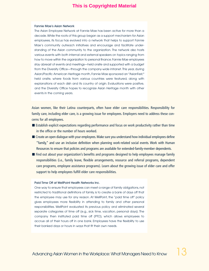#### Fannie Mae's Asian Network

The Asian Employee Network at Fannie Mae has been active for more than a decade.While the roots of this group began as a support mechanism for Asian employees, its focus has evolved into a network that helps to support Fannie Mae's community outreach initiatives and encourage and facilitate understanding of the Asian community to the organization. The network also hosts various events with both internal and external speakers on topics ranging from how to move within the organization to personal finance.Fannie Mae employees stay abreast of events and meetings—held onsite and supported with a budget from the Diversity Office—through the company-wide intranet. This year, during Asian/Pacific American Heritage month, Fannie Mae sponsored an "AsianFest," held onsite, where foods from various countries were featured, along with explanations of each dish and its country of origin. Evaluations were positive, and the Diversity Office hopes to recognize Asian Heritage month with other events in the coming years.

Asian women, like their Latina counterparts, often have elder care responsibilities. Responsibility for family care, including elder care, is a growing issue for employees. Employers need to address these concerns for all employees.

- Establish explicit expectations regarding performance and focus on work productivity rather than time in the office or the number of hours worked.
- Create an open dialogue with your employees. Make sure you understand how individual employees define "family," and use an inclusive definition when planning work-related social events. Work with Human Resources to ensure that policies and programs are available for extended-family-member dependents.
- Find out about your organization's benefits and programs designed to help employees manage family responsibilities (i.e., family leave, flexible arrangements, resource and referral programs, dependent care programs, employee assistance programs). Learn about the growing issue of elder care and offer support to help employees fulfill elder care responsibilities.

#### Paid Time Off at WellPoint Health Networks Inc.

One way to ensure that employees can meet a range of family obligations, not restricted to traditional definitions of family, is to create a bank of days off that the employee may use for any reason. At WellPoint, the "paid time off" policy gives employees more flexibility in attending to family and other personal responsibilities. WellPoint evaluated its previous policy and eliminated several separate categories of time off (e.g., sick time, vacation, personal days). The company then instituted paid time off (PTO), which allows employees to accrue all of their hours off in one bank. Employees have the flexibility to use their banked days or hours in ways that fit their own needs.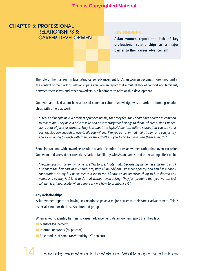# CHAPTER 3: PROFESSIONAL RELATIONSHIPS & CAREER DEVELOPMENT

**Asian women report the lack of key professional relationships as a major barrier to their career advancement.**

The role of the manager in facilitating career advancement for Asian women becomes more important in the context of their lack of relationships. Asian women report that a mutual lack of comfort and familiarity between themselves and other coworkers is a hindrance to relationship development.

One woman talked about how a lack of common cultural knowledge was a barrier in forming relationships with others at work.

*"I feel as if people have a problem approaching me, that they feel they don't have enough in common to talk to me. They have a private joke or a private story that belongs to them, whereas I don't understand a lot of jokes or stories.... They talk about the typical American culture stories that you are not a part of. So soon enough or eventually you will feel like you're not in that mainstream, and you just try and avoid going to lunch with them, or they don't ask you to go to lunch with them as much."*

Some interactions with coworkers result in a lack of comfort for Asian women rather than overt exclusion. One woman discussed her coworkers' lack of familiarity with Asian names, and the resulting effect on her:

*"People usually shorten my name, Sze Yan to Sze. I hate that…because my name has a meaning and I also share the first part of my name, Sze, with all my siblings. Sze means poetry, and Yan has a happy connotation. So my full name means a lot to me. I know it's an American thing to just shorten any name, and so they just tend to do that without even asking. They just presume that yes, we can just call her Sze. I appreciate when people ask me how to pronounce it."* 

#### **Key Relationships**

Asian women report not having key relationships as a major barrier to their career advancement. This is especially true for the Less Acculturated group.

When asked to identify barriers to career advancement, Asian women report that they lack:

- **■** Mentors (51 percent)
- Informal networks (50 percent)
- Role models of same race/ethnicity (27 percent)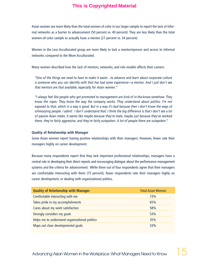Asian women are more likely than the total women of color in our larger sample to report the lack of informal networks as a barrier to advancement (50 percent vs. 40 percent). They are less likely than the total women-of-color sample to actually have a mentor (27 percent vs. 34 percent).

Women in the Less Acculturated group are more likely to lack a mentor/sponsor and access to informal networks compared to the More Acculturated.

Many women described how the lack of mentors, networks, and role models affects their careers:

*"One of the things we need to have to make it easier…to advance and learn about corporate culture is someone who you can identify with that has had some experience—a mentor. And I just don't see that mentors are that available, especially for Asian women."*

*"I always feel like people who get promoted to management are kind of in-the-know somehow. They know the ropes. They know the way the company works. They understand about politics. I'm not exposed to that, which in a way is good. But in a way it's bad because then I don't know the ways of schmoozing people. I admit: I don't understand that. I think the big difference is that I don't see a lot of passive Asian males. It seems like maybe because they're male, maybe just because they've worked there, they're fairly aggressive, and they're fairly outspoken. A lot of people there are outspoken."* 

#### **Quality of Relationship with Manager**

Some Asian women report having positive relationships with their managers. However, fewer rate their managers highly on career development.

Because many respondents report that they lack important professional relationships, managers have a central role in developing their direct reports and encouraging dialogue about the performance management systems and the criteria for advancement. While three out of four respondents agree that their managers are comfortable interacting with them (73 percent), fewer respondents rate their managers highly on career development, or dealing with organizational politics.

| <b>Quality of Relationship with Manager</b>    | <b>Total Asian Women</b> |
|------------------------------------------------|--------------------------|
| Comfortable interacting with me                | 73%                      |
| Takes pride in my accomplishments              | 65%                      |
| Cares about my work satisfaction               | 58%                      |
| Strongly considers my goals                    | 53%                      |
| Helps me to understand organizational politics | 35%                      |
| Maps out clear developmental goals             | 33%                      |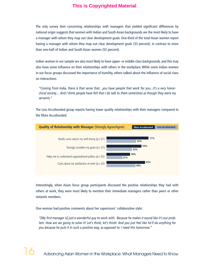The only survey item concerning relationships with managers that yielded significant differences by national origin suggests that women with Indian and South Asian backgrounds are the most likely to have a manager with whom they map out clear development goals. One-third of the total Asian women report having a manager with whom they map out clear development goals (33 percent), in contrast to more than one-half of Indian and South Asian women (52 percent).

Indian women in our sample are also most likely to have upper- or middle-class backgrounds, and this may also have some influence on their relationships with others in the workplace. While some Indian women in our focus groups discussed the importance of humility, others talked about the influence of social class on interactions:

*"Coming from India, there is that sense that…you have people that work for you...it's a very hierarchical society.... And I think people have felt that I do talk to them sometimes as though they were my servants."* 

The Less Acculturated group reports having lower quality relationships with their managers compared to the More Acculturated.



Interestingly, when Asian focus group participants discussed the positive relationships they had with others at work, they were most likely to mention their immediate managers rather than peers or other network members.

One woman had positive comments about her supervisors' collaborative style:

*"[My first manager is] just a wonderful guy to work with. Because he makes it sound like it's our problem. How are we going to solve it! Let's think; let's think! And you just feel like he'll do anything for you because he puts it in such a positive way, as opposed to: I need this tomorrow."*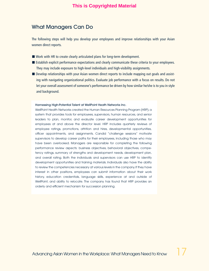# What Managers Can Do

The following steps will help you develop your employees and improve relationships with your Asian women direct reports.

- Work with HR to create clearly articulated plans for long-term development.
- Establish explicit performance expectations and clearly communicate these criteria to your employees. They may include exposure to high-level individuals and high-visibility assignments.
- Develop relationships with your Asian women direct reports to include mapping out goals and assisting with navigating organizational politics. Evaluate job performance with a focus on results. Do not let your overall assessment of someone's performance be driven by how similar he/she is to you in style and background.

#### Harnessing High-Potential Talent at WellPoint Heath Networks Inc.

WellPoint Health Networks created the Human Resources Planning Program (HRP), a system that provides tools for employees, supervisors, human resources, and senior leaders to plan, monitor, and evaluate career development opportunities for employees at and above the director level. HRP includes quarterly reviews of employee ratings, promotions, attrition and hires, developmental opportunities, officer appointments, and assignments. Candid "challenge sessions" motivate supervisors to develop career paths for their employees, including those who may have been overlooked. Managers are responsible for completing the following performance review aspects: business objectives, behavioral objectives, competency ratings, summary of strengths and development needs, development plan, and overall rating. Both the individuals and supervisors can use HRP to identify development opportunities and training materials. Individuals also have the ability to review the competencies necessary at various levels in the company.If they have interest in other positions, employees can submit information about their work history, education credentials, language skills, experience at and outside of WellPoint, and ability to relocate. The company has found that HRP provides an orderly and efficient mechanism for succession planning.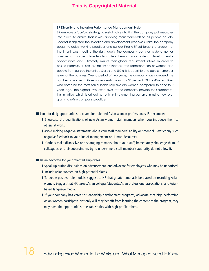#### BP Diversity and Inclusion Performance Management System

BP employs a four-fold strategy to sustain diversity. First, the company put measures into place to ensure that it was applying merit standards to all people equally. Second, it adjusted the selection and development processes. Third, the company began to adjust working practices and culture. Finally, BP set targets to ensure that the intent was meeting the right goals. The company casts as wide a net as possible to capture future leaders, offers them a broad suite of developmental opportunities, and ultimately, mirrors their global recruitment intake. In order to ensure progress, BP sets aspirations to increase the representation of women and people from outside the United States and UK in its leadership and across numerous levels of the business. Over a period of two years, the company has increased the number of women in its senior leadership ranks by 60 percent. Of the 45 executives who comprise the most senior leadership, five are women, compared to none four years ago. The highest-level executives at the company provide their support for this initiative, which is critical not only in implementing but also in using new programs to refine company practices.

- Look for daily opportunities to champion talented Asian women professionals. For example:
	- **➧** Showcase the qualifications of new Asian women staff members when you introduce them to others at work.
	- **➧** Avoid making negative statements about your staff members' ability or potential. Restrict any such negative feedback to your line of management or Human Resources.
	- **➧** If others make dismissive or disparaging remarks about your staff, immediately challenge them. If colleagues, or their subordinates, try to undermine a staff member's authority, do not allow it.
- Be an advocate for your talented employees.
	- **➧** Speak up during discussions on advancement, and advocate for employees who may be unnoticed.
	- **➧** Include Asian women on high-potential slates.
	- **➧** To create positive role models, suggest to HR that greater emphasis be placed on recruiting Asian women. Suggest that HR target Asian colleges/students, Asian professional associations, and Asianbased language media.
	- **➧** If your company has career or leadership development programs, advocate that high-performing Asian women participate. Not only will they benefit from learning the content of the program, they may have the opportunities to establish ties with high-profile others.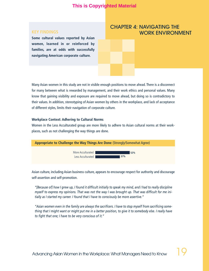**Some cultural values reported by Asian women, learned in or reinforced by families, are at odds with successfully navigating American corporate culture.**

# CHAPTER 4: NAVIGATING THE WORK ENVIRONMENT

Many Asian women in this study are not in visible enough positions to move ahead. There is a disconnect for many between what is rewarded by management, and their work ethics and personal values. Many know that gaining visibility and exposure are required to move ahead, but doing so is contradictory to their values. In addition, stereotyping of Asian women by others in the workplace, and lack of acceptance of different styles, limits their navigation of corporate culture.

#### **Workplace Context: Adhering to Cultural Norms**

Women in the Less Acculturated group are more likely to adhere to Asian cultural norms at their workplaces, such as not challenging the way things are done.



Asian culture, including Asian business culture, appears to encourage respect for authority and discourage self-assertion and self-promotion.

*"[Because of] how I grew up, I found it difficult initially to speak my mind, and I had to really discipline myself to express my opinions. That was not the way I was brought up. That was difficult for me initially as I started my career. I found that I have to consciously be more assertive."*

*"Asian women even in the family are always the sacrificers. I have to stop myself from sacrificing something that I might want or might put me in a better position, to give it to somebody else. I really have to fight that one; I have to be very conscious of it."*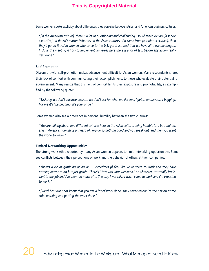Some women spoke explicitly about differences they perceive between Asian and American business cultures.

*"[In the American culture], there is a lot of questioning and challenging…so whether you are [a senior executive]—it doesn't matter. Whereas, in the Asian cultures, if it came from [a senior executive], then they'll go do it. Asian women who come to the U.S. get frustrated that we have all these meetings.... In Asia, the meeting is how to implement...whereas here there is a lot of talk before any action really gets done."*

#### **Self-Promotion**

Discomfort with self-promotion makes advancement difficult for Asian women. Many respondents shared their lack of comfort with communicating their accomplishments to those who evaluate their potential for advancement. Many realize that this lack of comfort limits their exposure and promotability, as exemplified by the following quote:

*"Basically, we don't advance because we don't ask for what we deserve. I get so embarrassed begging. For me it's like begging. It's your pride."*

Some women also see a difference in personal humility between the two cultures:

*"You are talking about two different cultures here. In the Asian culture, being humble is to be admired, and in America, humility is unheard of. You do something good and you speak out, and then you want the world to know."* 

#### **Limited Networking Opportunities**

The strong work ethic reported by many Asian women appears to limit networking opportunities. Some see conflicts between their perceptions of work and the behavior of others at their companies:

*"There's a lot of gossiping going on.… Sometimes [I] feel like we're there to work and they have nothing better to do but just gossip. There's 'How was your weekend,' or whatever. It's totally irrelevant to the job and I've seen too much of it. The way I was raised was, I come to work and I'm expected to work."*

*"[Your] boss does not know that you get a lot of work done. They never recognize the person at the cube working and getting the work done."*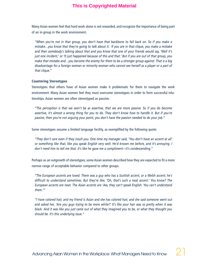Many Asian women feel that hard work alone is not rewarded, and recognize the importance of being part of an in-group in the work environment.

*"When you're not in that group, you don't have that backbone to fall back on. So if you make a mistake…you know that they're going to talk about it. If you are in that clique, you make a mistake and then somebody's talking about that and you know that one of your friends would say, 'Well it's just one incident,' or 'It just happened because of this and that.' But if you are out of that group, you make that mistake and…you become the enemy for them to be a stronger group against. That is a big disadvantage for a foreign woman or minority woman who cannot see herself as a player or a part of that clique."*

#### **Countering Stereotypes**

Stereotypes that others have of Asian women make it problematic for them to navigate the work environment. Many Asian women feel they must overcome stereotypes in order to form successful relationships. Asian women are often stereotyped as passive.

*"The perception is that we won't be as assertive, that we are more passive. So if you do become assertive, it's almost a wrong thing for you to do. They don't know how to handle it. But if you're passive, then you're not arguing your point, you don't have the passion needed to do your job."*

Some stereotypes assume a limited language facility, as exemplified by the following quote:

*"They don't care even if they insult you. One time my manager said, 'You don't have an accent at all' or something like that, like you speak English very well. He'd known me before, and it's annoying. I don't need him to tell me that. It's like he gave me a compliment—it's condescending."* 

Perhaps as an outgrowth of stereotypes, some Asian women described how they are expected to fit a more narrow range of acceptable behavior compared to other groups.

*"The European accents are loved. There was a guy who has a Scottish accent, or a Welsh accent; he's difficult to understand sometimes. But they're like, 'Oh, that's such a neat accent.' You know? The European accents are neat. The Asian accents are 'Aw, they can't speak English. You can't understand them.'"* 

*"I have colored hair, and my friend is Asian and she has colored hair, and she said someone went out and asked her, 'Are you guys trying to be more white?' It's like your hair was so pretty when it was black. And it was like you just came out of what they imagined you to be, or what they thought you should be. It's this underlying issue."*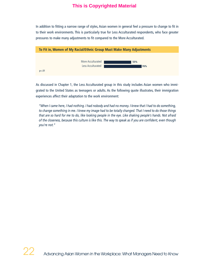In addition to fitting a narrow range of styles, Asian women in general feel a pressure to change to fit in to their work environments. This is particularly true for Less Acculturated respondents, who face greater pressures to make many adjustments to fit compared to the More Acculturated.



As discussed in Chapter 1, the Less Acculturated group in this study includes Asian women who immigrated to the United States as teenagers or adults. As the following quote illustrates, their immigration experiences affect their adaptation to the work environment:

*"When I came here, I had nothing. I had nobody and had no money. I knew that I had to do something, to change something in me. I knew my image had to be totally changed. That I need to do those things that are so hard for me to do, like looking people in the eye. Like shaking people's hands. Not afraid of the closeness, because this culture is like this. The way to speak as if you are confident, even though you're not."*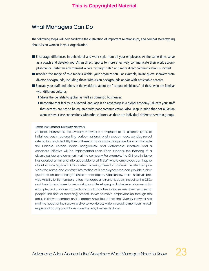# What Managers Can Do

The following steps will help facilitate the cultivation of important relationships, and combat stereotyping about Asian women in your organization.

- Encourage differences in behavioral and work style from all your employees. At the same time, serve as a coach and develop your Asian direct reports to more effectively communicate their work accomplishments. Foster an environment where "straight talk" and more direct communication is invited.
- Broaden the range of role models within your organization. For example, invite quest speakers from diverse backgrounds, including those with Asian backgrounds and/or with noticeable accents.
- Educate your staff and others in the workforce about the "cultural nimbleness" of those who are familiar with different cultures.
	- **➧** Stress the benefits to global as well as domestic businesses.
	- **➧** Recognize that facility in a second language is an advantage in a global economy. Educate your staff that accents are not to be equated with poor communication. Also, keep in mind that not all Asian women have close connections with other cultures, as there are individual differences within groups.

#### Texas Instruments' Diversity Network

At Texas Instruments, the Diversity Network is comprised of 13 different types of initiatives, each representing various national origin groups, race, gender, sexual orientation, and disability. Five of these national origin groups are Asian and include the Chinese, Korean, Indian, Bangladeshi, and Vietnamese Initiatives, and a Japanese Initiative will be implemented soon. Each supports the fostering of a diverse culture and community at the company. For example, the Chinese Initiative has created an intranet site accessible to all TI staff where employees can inquire about various regions in China when traveling there for business. The site then provides the name and contact information of TI employees who can provide further guidance on conducting business in that region. Additionally, these initiatives provide visibility for its members to top managers and senior leaders, including the CEO, and they foster a base for networking and developing an inclusive environment. For example, Tech. Ladder, a mentoring tool, matches initiative members with senior people. This annual matching process serves to move employees up through the ranks. Initiative members and TI leaders have found that the Diversity Network has met the needs of their growing diverse workforce, while leveraging members' knowledge and background to improve the way business is done.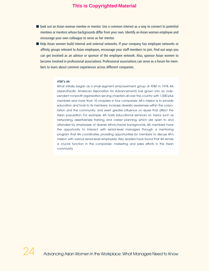- Seek out an Asian woman mentee or mentor. Use a common interest as a way to connect to potential mentees or mentors whose backgrounds differ from your own. Identify an Asian woman employee and encourage your own colleague to serve as her mentor.
- Help Asian women build internal and external networks. If your company has employee networks or affinity groups relevant to Asian employees, encourage your staff members to join. Find out ways you can get involved as an advisor or sponsor of the employee network. Also, sponsor Asian women to become involved in professional associations. Professional associations can serve as a forum for members to learn about common experiences across different companies.

#### AT&T's 4A

What initially began as a small segment empowerment group at AT&T in 1978, 4A (Asian/Pacific American Association for Advancement) has grown into an independent nonprofit organization serving chapters all over the country with 1,000-plus members and more than 10 chapters in four companies. 4A's mission is to provide education and tools to its members; increase diversity awareness within the corporation and the community; and exert greater influence on issues that affect the Asian population. For example, 4A hosts educational seminars on topics such as networking, assertiveness training, and career planning, which are open to and attended by employees of diverse ethnic/racial backgrounds. 4A members have the opportunity to interact with senior-level managers through a mentoring program that 4A coordinates, providing opportunities for members to discuss 4A's mission with various senior-level employees. Also, leaders have found that 4A serves a crucial function in the companies' marketing and sales efforts in the Asian community.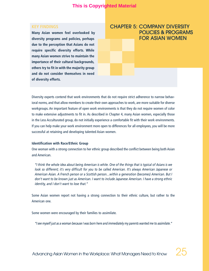**Many Asian women feel overlooked by diversity programs and policies, perhaps due to the perception that Asians do not require specific diversity efforts. While many Asian women strive to maintain the importance of their cultural backgrounds, others try to fit in with the majority group and do not consider themselves in need of diversity efforts.**

# CHAPTER 5: COMPANY DIVERSITY POLICIES & PROGRAMS FOR ASIAN WOMEN

Diversity experts contend that work environments that do not require strict adherence to narrow behavioral norms, and that allow members to create their own approaches to work, are more suitable for diverse workgroups. An important feature of open work environments is that they do not require women of color to make extensive adjustments to fit in. As described in Chapter 4, many Asian women, especially those in the Less Acculturated group, do not initially experience a comfortable fit with their work environments. If you can help make your work environment more open to differences for all employees, you will be more successful at retaining and developing talented Asian women.

### **Identification with Race/Ethnic Group**

One woman with a strong connection to her ethnic group described the conflict between being both Asian and American.

*"I think the whole idea about being American is white. One of the things that is typical of Asians is we look so different; it's very difficult for you to be called American. It's always American Japanese or American Asian. A French person or a Scottish person…within a generation (becomes) American. But I don't want to be known just as American. I want to include Japanese American. I have a strong ethnic identity, and I don't want to lose that."* 

Some Asian women report not having a strong connection to their ethnic culture, but rather to the American one.

Some women were encouraged by their families to assimilate.

*"I see myself just as a woman because I was born here and immediately my parents wanted me to assimilate."*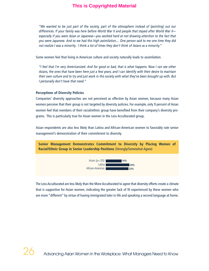*"We wanted to be just part of the society, part of the atmosphere instead of (pointing) out our differences. If your family was here before World War II and people that stayed after World War II especially if you were Asian or Japanese—you worked hard at not drawing attention to the fact that you were Japanese. And so we had this high assimilation.... One person said to me one time they did not realize I was a minority. I think a lot of times they don't think of Asians as a minority."*

Some women feel that living in American culture and society naturally leads to assimilation.

*"I feel that I'm very Americanized. And for good or bad, that is what happens. Now I can see other Asians, the ones that have been here just a few years, and I can identify with their desire to maintain their own culture and to try and just work in this society with what they've been brought up with. But I personally don't have that need."* 

#### **Perceptions of Diversity Policies**

Companies' diversity approaches are not perceived as effective by Asian women, because many Asian women perceive that their group is not targeted by diversity policies. For example, only 9 percent of Asian women feel that members of their racial/ethnic group have benefited from their company's diversity programs. This is particularly true for Asian women in the Less Acculturated group.

Asian respondents are also less likely than Latina and African-American women to favorably rate senior management's demonstration of their commitment to diversity.



The Less Acculturated are less likely than the More Acculturated to agree that diversity efforts create a climate that is supportive for Asian women, indicating the greater lack of fit experienced by these women who are more "different" by virtue of having immigrated later in life and speaking a second language at home.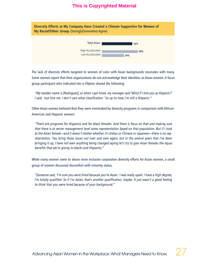| Diversity Efforts at My Company Have Created a Climate Supportive for Women of<br>My Racial/Ethnic Group (Strongly/Somewhat Agree) |            |  |  |
|------------------------------------------------------------------------------------------------------------------------------------|------------|--|--|
| <b>Total Asian</b>                                                                                                                 | 33%        |  |  |
| High Acculturated<br>Low Acculturated                                                                                              | 39%<br>24% |  |  |

The lack of diversity efforts targeted to women of color with Asian backgrounds resonates with many. Some women report that their organizations do not acknowledge their identities as Asian women. A focus group participant who indicated she is Filipino shared the following:

*"My maiden name is [Rodriguez], so when I got hired, my manager said 'Mind if I hire you as Hispanic?' I said, 'Just hire me. I don't care what classification.' So up to now, I'm still a Hispanic."*

Other Asian women believed that they were overlooked by diversity programs in comparison with African-American and Hispanic women:

*"There are programs for Hispanics and for black females. And there is focus on that and making sure that there is at senior management level some representation based on that population. But if I look at the Asian female—and it doesn't matter whether it's Indian or Chinese or Japanese—there is no representation. You bring those issues out over and over again, but in the several years that I've been bringing it up, I have not seen anything being changed saying let's try to give Asian females the equal benefits that we're giving to blacks and Hispanics."*

While many women seem to desire more inclusive corporative diversity efforts for Asian women, a small group of women discussed discomfort with minority status.

*"Someone said, 'I'm sure you were hired because you're Asian.' I was really upset. I have a high degree; I'm totally qualified. So if I'm Asian, that's another qualification, maybe. It just wasn't a good feeling to think that you were hired because of your background."*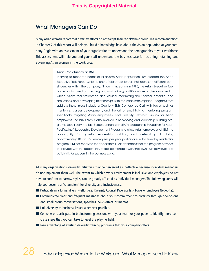# What Managers Can Do

Many Asian women report that diversity efforts do not target their racial/ethnic group. The recommendations in Chapter 2 of this report will help you build a knowledge base about the Asian population at your company. Begin with an assessment of your organization to understand the demographics of your workforce. This assessment will help you and your staff understand the business case for recruiting, retaining, and advancing Asian women in the workforce.

#### Asian Constituency at IBM

In trying to meet the needs of its diverse Asian population, IBM created the Asian Executive Task Force, which is one of eight task forces that represent different constituencies within the company. Since its inception in 1995, the Asian Executive Task Force has focused on creating and maintaining an IBM culture and environment in which Asians feel welcomed and valued, maximizing their career potential and aspirations, and developing relationships with the Asian marketplace. Programs that address these issues include a Quarterly Skills Conference Call, with topics such as mentoring, career development, and the art of small talk; a mentoring program specifically targeting Asian employees, and Diversity Network Groups for Asian employees. The Task Force is also involved in networking and leadership building programs. Specifically, the Task Force partners with LEAP's (Leadership Education for Asian Pacifics, Inc.) Leadership Development Program to allow Asian employees at IBM the opportunity for growth, leadership building, and networking. In total, approximately 100 to 150 employees per year participate in this five-day residential program.IBM has received feedback from LEAP attendees that the program provides employees with the opportunity to feel comfortable with their own cultural values and build skills for success in the business world.

At many organizations, diversity initiatives may be perceived as ineffective because individual managers do not implement them well. The extent to which a work environment is inclusive, and employees do not have to conform to narrow styles, can be greatly affected by individual managers. The following steps will help you become a "champion" for diversity and inclusiveness.

- Participate in a formal diversity effort (i.e., Diversity Council, Diversity Task Force, or Employee Networks).
- Communicate clear and frequent messages about your commitment to diversity through one-on-one and small group conversations, speeches, newsletters, or memos.
- Link diversity to business issues whenever possible.
- Convene or participate in brainstorming sessions with your team or your peers to identify more concrete steps that you can take to level the playing field.
- Take advantage of existing diversity training programs that your company offers.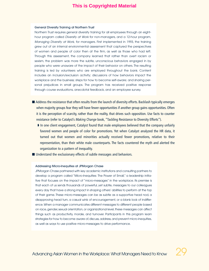#### General Diversity Training at Northern Trust

Northern Trust requires general diversity training for all employees through an eighthour program called Diversity at Work for non-managers, and a 12-hour program, Managing Diversity at Work, for managers. First implemented in 1993, the training grew out of an internal environmental assessment that captured the perspectives of women and people of color then at the firm, as well as those who had left. Through this assessment, the company learned that rather than overt racism or sexism, the problem was more the subtle, unconscious behaviors engaged in by people who were unaware of the impact of their behavior on others. The resulting training is led by volunteers who are employed throughout the bank. Content includes an inclusion/exclusion activity; discussions of how behaviors impact the workplace and the business; steps for how to become self-aware; and sharing personal prejudices in small groups. The program has received positive response through course evaluations, anecdotal feedback, and an employee survey.

- Address the resistance that often results from the launch of diversity efforts. Backlash typically emerges when majority groups fear they will have fewer opportunities if another group gains opportunities. Often it is the perception of scarcity, rather than the reality, that drives such opposition. Use facts to counter resistance (refer to Catalyst's *Making Change* book, "Tackling Resistance to Diversity Efforts").
	- **➧** In one client engagement, Catalyst found that male employees believed that the company unfairly favored women and people of color for promotions. Yet when Catalyst analyzed the HR data, it turned out that women and minorities actually received fewer promotions, relative to their representation, than their white male counterparts. The facts countered the myth and alerted the organization to a pattern of inequality.
- Understand the exclusionary effects of subtle messages and behaviors.

#### Addressing Micro-Inequities at JPMorgan Chase

JPMorgan Chase partnered with key academic institutions and consulting partners to develop a program called "Micro-Inequities: The Power of Small," a leadership initiative that focuses on the impact of "micro-messages" in the workplace. Its premise is that each of us sends thousands of powerful, yet subtle, messages to our colleagues every day that have a strong impact in shaping others' abilities to perform at the top of their game. These micro-messages can be as subtle as a supportive head nod, a disapproving head turn, a casual wink of encouragement, or a blank look of indifference.When a manager communicates different messages to different people based on race, gender, sexual orientation, or organizational level, these messages can affect things such as productivity, morale, and turnover. Participants in this program learn strategies for how to become aware of, discuss, address, and prevent micro-inequities, as well as ways to use positive micro-messages to drive performance.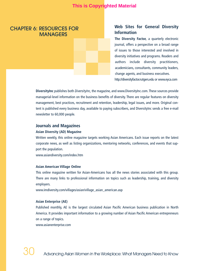# CHAPTER 6: RESOURCES FOR **MANAGERS**

# **Web Sites for General Diversity Information**

**The Diversity Factor,** a quarterly electronic journal, offers a perspective on a broad range of issues to those interested and involved in diversity initiatives and programs. Readers and authors include diversity practitioners, academicians, consultants, community leaders, change agents, and business executives. http://diversityfactor.rutgers.edu or www.eyca.com

**DiversityInc** publishes both *DiversityInc*, the magazine, and www.DiversityInc.com. These sources provide managerial-level information on the business benefits of diversity. There are regular features on diversity management, best practices, recruitment and retention, leadership, legal issues, and more. Original content is published every business day, available to paying subscribers, and DiversityInc sends a free e-mail newsletter to 60,000 people.

# **Journals and Magazines**

#### **Asian Diversity (AD) Magazine**

Written weekly, this online magazine targets working Asian Americans. Each issue reports on the latest corporate news, as well as listing organizations, mentoring networks, conferences, and events that support the population.

www.asiandiversity.com/index.htm

#### **Asian American Village Online**

This online magazine written for Asian-Americans has all the news stories associated with this group. There are many links to professional information on topics such as leadership, training, and diversity employers.

www.imdiversity.com/villages/asian/village\_asian\_american.asp

#### **Asian Enterprise (AE)**

Published monthly, AE is the largest circulated Asian Pacific American business publication in North America. It provides important information to a growing number of Asian Pacific American entrepreneurs on a range of topics.

www.asianenterprise.com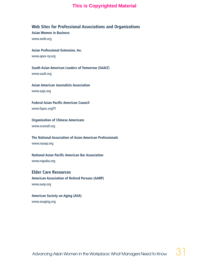# **Web Sites for Professional Associations and Organizations**

**Asian Women in Business** www.awib.org

**Asian Professional Extension, Inc.** www.apex-ny.org

**South Asian American Leaders of Tomorrow (SAALT)** www.saalt.org

**Asian American Journalists Association** www.aaja.org

**Federal Asian Pacific American Council** www.fapac.org/f1

**Organization of Chinese Americans** www.ocanatl.org

**The National Association of Asian American Professionals** www.naaap.org

**National Asian Pacific American Bar Association**  www.napaba.org

**Elder Care Resources American Association of Retired Persons (AARP)** www.aarp.org

**American Society on Aging (ASA)** www.asaging.org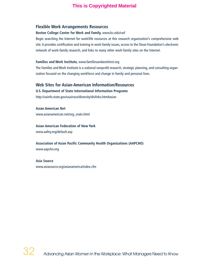# **Flexible Work Arrangements Resources**

### **Boston College Center for Work and Family,** www.bc.edu/cwf

Begin searching the Internet for work/life resources at this research organization's comprehensive web site. It provides certification and training in work-family issues, access to the Sloan Foundation's electronic network of work-family research, and links to many other work-family sites on the Internet.

# **Families and Work Institute,** www.familiesandworkinst.org

The Families and Work Institute is a national nonprofit research, strategic planning, and consulting organization focused on the changing workforce and change in family and personal lives.

# **Web Sites for Asian-American Information/Resources**

# **U.S. Department of State International Information Programs**

http://usinfo.state.gov/usa/race/diversity/divlinks.htm#asian

**Asian American Net** www.asianamerican.net/org\_main.html

**Asian American Federation of New York** www.aafny.org/default.asp

**Association of Asian Pacific Community Health Organizations (AAPCHO)** www.aapcho.org

**Asia Source** www.asiasource.org/asianamerica/index.cfm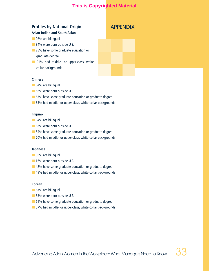# **Profiles by National Origin**

# **Asian Indian and South Asian**

- 92% are bilingual
- 84% were born outside U.S.
- 75% have some graduate education or graduate degree
- **■** 91% had middle- or upper-class, whitecollar backgrounds

# APPENDIX

## **Chinese**

- 84% are bilingual
- 66% were born outside U.S.
- 63% have some graduate education or graduate degree
- 63% had middle- or upper-class, white-collar backgrounds

#### **Filipino**

- 84% are bilingual
- 82% were born outside U.S.
- 54% have some graduate education or graduate degree
- 70% had middle- or upper-class, white-collar backgrounds

#### **Japanese**

- 30% are bilingual
- 16% were born outside U.S.
- 42% have some graduate education or graduate degree
- 49% had middle- or upper-class, white-collar backgrounds

### **Korean**

- 87% are bilingual
- 83% were born outside U.S.
- 61% have some graduate education or graduate degree
- 57% had middle- or upper-class, white-collar backgrounds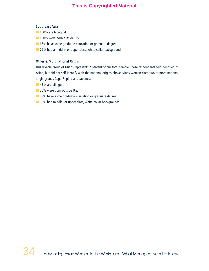#### **Southeast Asia**

- 100% are bilingual
- **■** 100% were born outside U.S.
- 65% have some graduate education or graduate degree
- 79% had a middle- or upper-class, white-collar background

#### **Other & Multinational Origin**

This diverse group of Asians represents 7 percent of our total sample. These respondents self-identified as Asian, but did not self-identify with the national origins above. Many women cited two or more national origin groups (e.g., Filipino and Japanese)

- **■** 43% are bilingual
- 70% were born outside U.S.
- 39% have some graduate education or graduate degree
- 39% had middle- or upper-class, white-collar backgrounds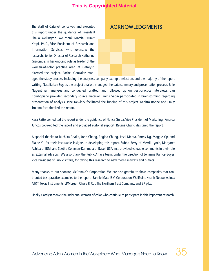The staff of Catalyst conceived and executed this report under the guidance of President Sheila Wellington. We thank Marcia Brumit Kropf, Ph.D., Vice President of Research and Information Services, who oversaw the research. Senior Director of Research Katherine Giscombe, in her ongoing role as leader of the women-of-color practice area at Catalyst, directed the project. Rachel Gonzalez man-

# ACKNOWLEDGMENTS

aged the study process, including the analyses, company example selection, and the majority of the report writing. Natalia Lee Soy, as the project analyst, managed the data summary and presentation process. Julie Nugent ran analyses and conducted, drafted, and followed up on best-practice interviews. Jan Combopiano provided secondary source material. Emma Sabin participated in brainstorming regarding presentation of analysis. Jane Newkirk facilitated the funding of this project. Kenitra Boone and Emily Troiano fact-checked the report.

Kara Patterson edited the report under the guidance of Nancy Guida, Vice President of Marketing. Andrea Juncos copy-edited the report and provided editorial support. Regina Chung designed the report.

A special thanks to Ruchika Bhalla, John Chang, Regina Chung, Jesal Mehta, Emmy Ng, Maggie Yip, and Elaine Yu for their invaluable insights in developing this report. Subha Berry of Merrill Lynch, Margaret Ashida of IBM, and Seetha Coleman-Kammula of Basell USA Inc., provided valuable comments in their role as external advisors. We also thank the Public Affairs team, under the direction of Johanna Ramos-Boyer, Vice President of Public Affairs, for taking this research to new media markets and outlets.

Many thanks to our sponsor, McDonald's Corporation. We are also grateful to those companies that contributed best-practice examples to the report: Fannie Mae; IBM Corporation; WellPoint Health Networks Inc.; AT&T; Texas Instruments; JPMorgan Chase & Co.; The Northern Trust Company; and BP p.l.c.

Finally, Catalyst thanks the individual women of color who continue to participate in this important research.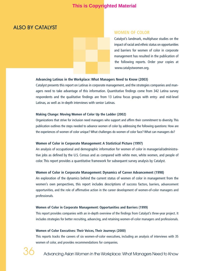# ALSO BY CATALYST

## **WOMEN OF COLOR**

Catalyst's landmark, multiphase studies on the impact of racial and ethnic status on opportunities and barriers for women of color in corporate management has resulted in the publication of the following reports. Order your copies at www.catalystwomen.org.

## **Advancing Latinas in the Workplace: What Managers Need to Know (2003)**

Catalyst presents this report on Latinas in corporate management, and the strategies companies and managers need to take advantage of this information. Quantitative findings come from 342 Latina survey respondents and the qualitative findings are from 13 Latina focus groups with entry- and mid-level Latinas, as well as in-depth interviews with senior Latinas.

#### **Making Change: Moving Women of Color Up the Ladder (2002)**

Organizations that strive for inclusion need managers who support and affirm their commitment to diversity. This publication outlines the steps needed to advance women of color by addressing the following questions: How are the experiences of women of color unique? What challenges do women of color face? What can managers do?

#### **Women of Color in Corporate Management: A Statistical Picture (1997)**

An analysis of occupational and demographic information for women of color in managerial/administrative jobs as defined by the U.S. Census and as compared with white men, white women, and people of color. This report provides a quantitative framework for subsequent survey analysis by Catalyst.

#### **Women of Color in Corporate Management: Dynamics of Career Advancement (1998)**

An exploration of the dynamics behind the current status of women of color in management from the women's own perspectives, this report includes descriptions of success factors, barriers, advancement opportunities, and the role of affirmative action in the career development of women-of-color managers and professionals.

#### **Women of Color in Corporate Management: Opportunities and Barriers (1999)**

This report provides companies with an in-depth overview of the findings from Catalyst's three-year project. It includes strategies for better recruiting, advancing, and retaining women-of-color managers and professionals.

#### **Women of Color Executives: Their Voices, Their Journeys (2000)**

This reports tracks the careers of six women-of-color executives, including an analysis of interviews with 35 women of color, and provides recommendations for companies.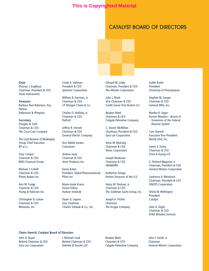# CATALYST BOARD OF DIRECTORS

**Chair** Thomas J. Engibous Chairman, President & CEO Texas Instruments

**Treasurer** Barbara Paul Robinson, Esq. Partner Debevoise & Plimpton

#### **Secretary** Douglas N. Daft Chairman & CEO The Coca-Cola Company

The Lord Browne of Madingley Group Chief Executive BP p.l.c.

Tony Comper Chairman & CEO BMO Financial Group

Michael J. Critelli Chairman & CEO Pitney Bowes Inc.

Ann M. Fudge Chairman & CEO Young & Rubicam Inc.

Christopher B. Galvin Chairman & CEO Motorola, Inc.

Cinda A. Hallman President & CEO Spherion Corporation

William B. Harrison, Jr. Chairman & CEO J.P. Morgan Chase & Co.

Charles O. Holliday, Jr. Chairman & CEO DuPont

Jeffrey R. Immelt Chairman & CEO General Electric Company

Ann Dibble Jordan Consultant

Andrea Jung Chairman & CEO Avon Products, Inc.

Karen Katen President, Global Pharmaceuticals Pfizer Inc

Marie-Josée Kravis Senior Fellow Hudson Institute

Dawn G. Lepore Vice Chairman Charles Schwab & Co., Inc. Edward M. Liddy Chairman, President & CEO The Allstate Corporation

John J. Mack Vice Chairman & CEO Credit Suisse First Boston LLC

Reuben Mark Chairman & CEO Colgate-Palmolive Company

C. Steven McMillan Chairman, President & CEO Sara Lee Corporation

Anne M. Mulcahy Chairman & CEO Xerox Corporation

Joseph Neubauer Chairman & CEO ARAMARK

Katherine Ortega Former Treasurer of the U.S.

Henry M. Paulson, Jr. Chairman & CEO The Goldman Sachs Group, Inc.

Joseph A. Pichler Chairman The Kroger Company Judith Rodin President University of Pennsylvania

Stephen W. Sanger Chairman & CEO General Mills, Inc.

Martha R. Seger Former Member—Board of Governors of the Federal Reserve System

Cam Starrett Executive Vice President Nestlé USA, Inc.

James S. Turley Chairman & CEO Ernst & Young LLP

G. Richard Wagoner, Jr. Chairman, President & CEO General Motors Corporation

Lawrence A. Weinbach Chairman, President & CEO UNISYS Corporation

Sheila W. Wellington President Catalyst

John D. Zeglis Chairman & CEO AT&T Wireless Services

#### **Chairs Emeriti, Catalyst Board of Directors**

John H. Bryan Retired Chairman & CEO Sara Lee Corporation

J. Michael Cook Retired Chairman & CEO Deloitte & Touche LLP

Reuben Mark Chairman & CEO Colgate-Palmolive Company John F. Smith, Jr. Chairman General Motors Corporation